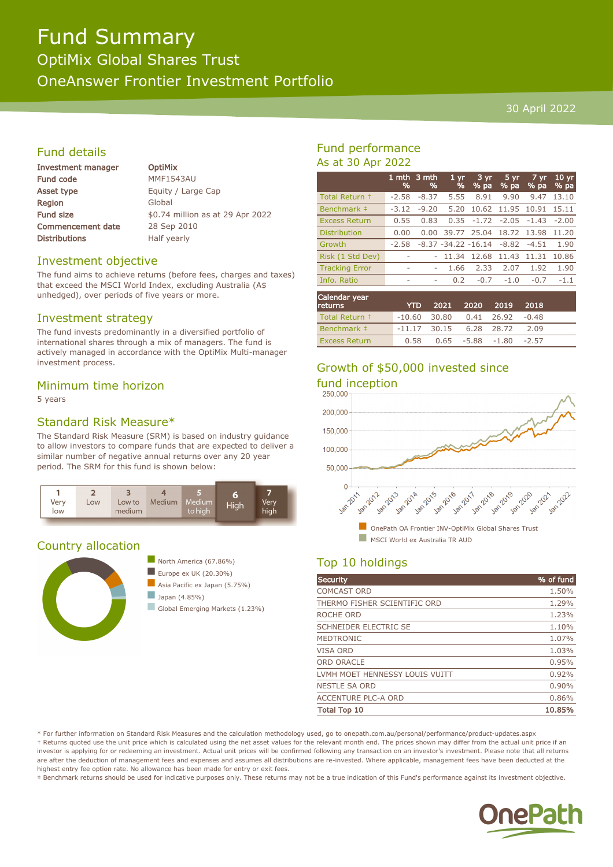# Fund Summary

OptiMix Global Shares Trust OneAnswer Frontier Investment Portfolio

30 April 2022

# Fund details

| Investment manager       |  |  |
|--------------------------|--|--|
| Fund code                |  |  |
| Asset type               |  |  |
| Region                   |  |  |
| <b>Fund size</b>         |  |  |
| <b>Commencement date</b> |  |  |
| <b>Distributions</b>     |  |  |

**OptiMix** MMF1543AU Equity / Large Cap Global \$0.74 million as at 29 Apr 2022 28 Sep 2010 Half yearly

# Investment objective

The fund aims to achieve returns (before fees, charges and taxes) that exceed the MSCI World Index, excluding Australia (A\$ unhedged), over periods of five years or more.

#### Investment strategy

The fund invests predominantly in a diversified portfolio of international shares through a mix of managers. The fund is actively managed in accordance with the OptiMix Multi-manager investment process.

# Minimum time horizon

5 years

# Standard Risk Measure\*

The Standard Risk Measure (SRM) is based on industry guidance to allow investors to compare funds that are expected to deliver a similar number of negative annual returns over any 20 year period. The SRM for this fund is shown below:



# Country allocation





n Global Emerging Markets (1.23%)

# Fund performance As at 30 Apr 2022

|                       | 1 mth<br>% | 3 mth<br>$\frac{9}{6}$ | 1 <sub>vr</sub><br>%    | 3 yr<br>% pa | 5 yr<br>$%$ pa | 7 yr<br>% pa | $10 \text{ yr}$<br>% pa |
|-----------------------|------------|------------------------|-------------------------|--------------|----------------|--------------|-------------------------|
| Total Return +        | $-2.58$    | $-8.37$                | 5.55                    | 8.91         | 9.90           | 9.47         | 13.10                   |
| Benchmark ‡           | $-3.12$    | $-9.20$                | 5.20                    | 10.62        | 11.95          | 10.91        | 15.11                   |
| <b>Excess Return</b>  | 0.55       | 0.83                   | 0.35                    | $-1.72$      | $-2.05$        | $-1.43$      | $-2.00$                 |
| <b>Distribution</b>   | 0.00       | 0.00                   | 39.77                   | 25.04        | 18.72          | 13.98        | 11.20                   |
| Growth                | $-2.58$    |                        | $-8.37 - 34.22 - 16.14$ |              | $-8.82$        | $-4.51$      | 1.90                    |
| Risk (1 Std Dev)      | ۰          |                        | 11.34                   | 12.68        | 11.43          | 11.31        | 10.86                   |
| <b>Tracking Error</b> | ۰          | ۰                      | 1.66                    | 2.33         | 2.07           | 1.92         | 1.90                    |
| Info. Ratio           | ۰          | ٠                      | 0.2                     | $-0.7$       | $-1.0$         | $-0.7$       | $-1.1$                  |
|                       |            |                        |                         |              |                |              |                         |

| Calendar year<br><b>returns</b> | <b>YTD</b>                        | 2021 2020 2019 |                          | 2018 |  |
|---------------------------------|-----------------------------------|----------------|--------------------------|------|--|
| Total Return +                  | $-10.60$ 30.80 0.41 26.92 $-0.48$ |                |                          |      |  |
| Benchmark #                     | $-11.17$ 30.15 6.28 28.72         |                |                          | 2.09 |  |
| <b>Excess Return</b>            | 0.58                              |                | $0.65 -5.88 -1.80 -2.57$ |      |  |

# Growth of \$50,000 invested since



# Top 10 holdings

| <b>Security</b>                | % of fund |
|--------------------------------|-----------|
| <b>COMCAST ORD</b>             | 1.50%     |
| THERMO FISHER SCIENTIFIC ORD   | 1.29%     |
| ROCHE ORD                      | 1.23%     |
| <b>SCHNEIDER ELECTRIC SE</b>   | 1.10%     |
| <b>MEDTRONIC</b>               | 1.07%     |
| <b>VISA ORD</b>                | 1.03%     |
| <b>ORD ORACLE</b>              | 0.95%     |
| LVMH MOET HENNESSY LOUIS VUITT | 0.92%     |
| <b>NESTLE SA ORD</b>           | 0.90%     |
| <b>ACCENTURE PLC-A ORD</b>     | 0.86%     |
| <b>Total Top 10</b>            | 10.85%    |

\* For further information on Standard Risk Measures and the calculation methodology used, go to onepath.com.au/personal/performance/product-updates.aspx † Returns quoted use the unit price which is calculated using the net asset values for the relevant month end. The prices shown may differ from the actual unit price if an investor is applying for or redeeming an investment. Actual unit prices will be confirmed following any transaction on an investor's investment. Please note that all returns are after the deduction of management fees and expenses and assumes all distributions are re-invested. Where applicable, management fees have been deducted at the highest entry fee option rate. No allowance has been made for entry or exit fees.

‡ Benchmark returns should be used for indicative purposes only. These returns may not be a true indication of this Fund's performance against its investment objective.